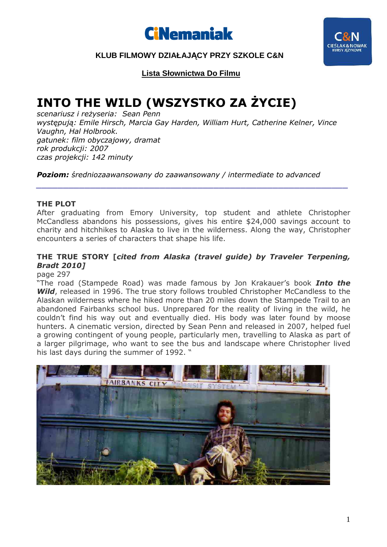



## **KLUB FILMOWY DZIAŁAJĄCY PRZY SZKOLE C&N**

**Lista Słownictwa Do Filmu**

# **INTO THE WILD (WSZYSTKO ZA ŻYCIE)**

*scenariusz i reżyseria: Sean Penn występują: Emile Hirsch, Marcia Gay Harden, William Hurt, Catherine Kelner, Vince Vaughn, Hal Holbrook. gatunek: film obyczajowy, dramat rok produkcji: 2007 czas projekcji: 142 minuty* 

*Poziom: średniozaawansowany do zaawansowany / intermediate to advanced* 

#### **THE PLOT**

After graduating from Emory University, top student and athlete Christopher McCandless abandons his possessions, gives his entire \$24,000 savings account to charity and hitchhikes to Alaska to live in the wilderness. Along the way, Christopher encounters a series of characters that shape his life.

*\_\_\_\_\_\_\_\_\_\_\_\_\_\_\_\_\_\_\_\_\_\_\_\_\_\_\_\_\_\_\_\_\_\_\_\_\_\_\_\_\_\_\_\_\_\_\_\_\_\_\_\_\_\_\_\_\_\_* 

### **THE TRUE STORY [***cited from Alaska (travel guide) by Traveler Terpening, Bradt 2010]*

page 297

"The road (Stampede Road) was made famous by Jon Krakauer's book *Into the*  **Wild**, released in 1996. The true story follows troubled Christopher McCandless to the Alaskan wilderness where he hiked more than 20 miles down the Stampede Trail to an abandoned Fairbanks school bus. Unprepared for the reality of living in the wild, he couldn't find his way out and eventually died. His body was later found by moose hunters. A cinematic version, directed by Sean Penn and released in 2007, helped fuel a growing contingent of young people, particularly men, travelling to Alaska as part of a larger pilgrimage, who want to see the bus and landscape where Christopher lived his last days during the summer of 1992. "

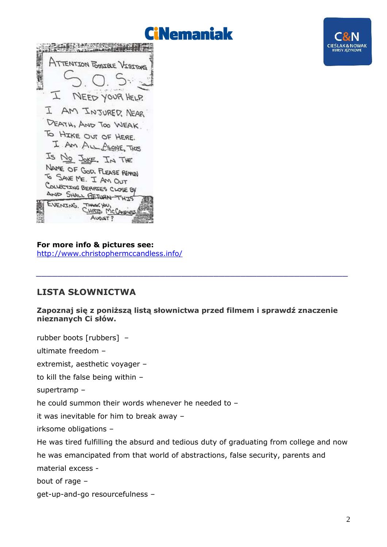



For more info & pictures see: http://www.christophermccandless.info/

# **LISTA SŁOWNICTWA**

#### Zapoznaj się z poniższą listą słownictwa przed filmem i sprawdź znaczenie nieznanych Ci słów.

rubber boots [rubbers] ultimate freedom extremist, aesthetic voyager to kill the false being within supertramp he could summon their words whenever he needed to it was inevitable for him to break away irksome obligations -He was tired fulfilling the absurd and tedious duty of graduating from college and now he was emancipated from that world of abstractions, false security, parents and material excess bout of rage qet-up-and-go resourcefulness -

**CIEŚLAK & NOWAK**